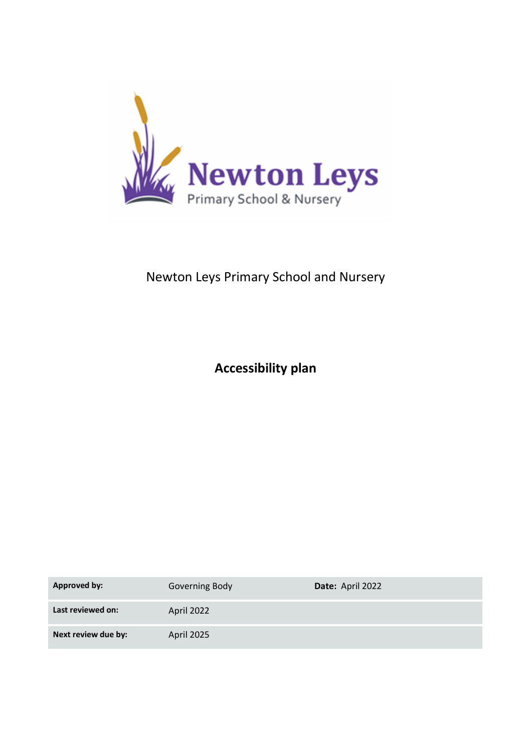

# Newton Leys Primary School and Nursery

**Accessibility plan**

| <b>Approved by:</b> | <b>Governing Body</b> | Date: April 2022 |
|---------------------|-----------------------|------------------|
| Last reviewed on:   | April 2022            |                  |
| Next review due by: | April 2025            |                  |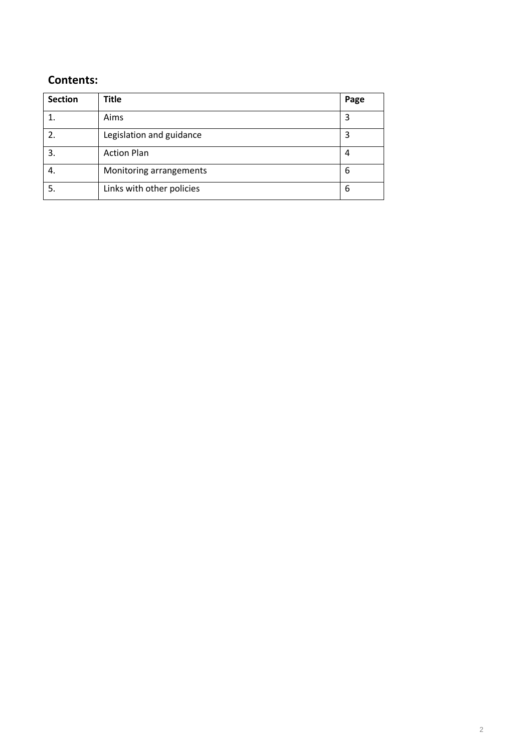## **Contents:**

| <b>Section</b> | <b>Title</b>              | Page |
|----------------|---------------------------|------|
|                | Aims                      | 3    |
|                | Legislation and guidance  | 3    |
| 3.             | <b>Action Plan</b>        | 4    |
| 4.             | Monitoring arrangements   | 6    |
| 5.             | Links with other policies | 6    |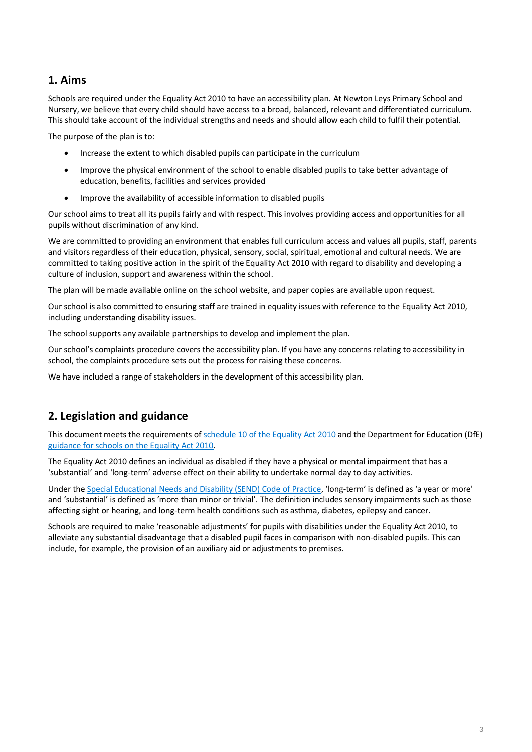#### **1. Aims**

Schools are required under the Equality Act 2010 to have an accessibility plan. At Newton Leys Primary School and Nursery, we believe that every child should have access to a broad, balanced, relevant and differentiated curriculum. This should take account of the individual strengths and needs and should allow each child to fulfil their potential.

The purpose of the plan is to:

- Increase the extent to which disabled pupils can participate in the curriculum
- Improve the physical environment of the school to enable disabled pupils to take better advantage of education, benefits, facilities and services provided
- Improve the availability of accessible information to disabled pupils

Our school aims to treat all its pupils fairly and with respect. This involves providing access and opportunities for all pupils without discrimination of any kind.

We are committed to providing an environment that enables full curriculum access and values all pupils, staff, parents and visitors regardless of their education, physical, sensory, social, spiritual, emotional and cultural needs. We are committed to taking positive action in the spirit of the Equality Act 2010 with regard to disability and developing a culture of inclusion, support and awareness within the school.

The plan will be made available online on the school website, and paper copies are available upon request.

Our school is also committed to ensuring staff are trained in equality issues with reference to the Equality Act 2010, including understanding disability issues.

The school supports any available partnerships to develop and implement the plan.

Our school's complaints procedure covers the accessibility plan. If you have any concerns relating to accessibility in school, the complaints procedure sets out the process for raising these concerns.

We have included a range of stakeholders in the development of this accessibility plan.

# **2. Legislation and guidance**

This document meets the requirements o[f schedule 10 of the Equality Act 2010](http://www.legislation.gov.uk/ukpga/2010/15/schedule/10) and the Department for Education (DfE) [guidance for schools on the Equality Act 2010.](https://www.gov.uk/government/publications/equality-act-2010-advice-for-schools)

The Equality Act 2010 defines an individual as disabled if they have a physical or mental impairment that has a 'substantial' and 'long-term' adverse effect on their ability to undertake normal day to day activities.

Under th[e Special Educational Needs and Disability \(SEND\) Code of Practice](https://www.gov.uk/government/publications/send-code-of-practice-0-to-25), 'long-term' is defined as 'a year or more' and 'substantial' is defined as 'more than minor or trivial'. The definition includes sensory impairments such as those affecting sight or hearing, and long-term health conditions such as asthma, diabetes, epilepsy and cancer.

Schools are required to make 'reasonable adjustments' for pupils with disabilities under the Equality Act 2010, to alleviate any substantial disadvantage that a disabled pupil faces in comparison with non-disabled pupils. This can include, for example, the provision of an auxiliary aid or adjustments to premises.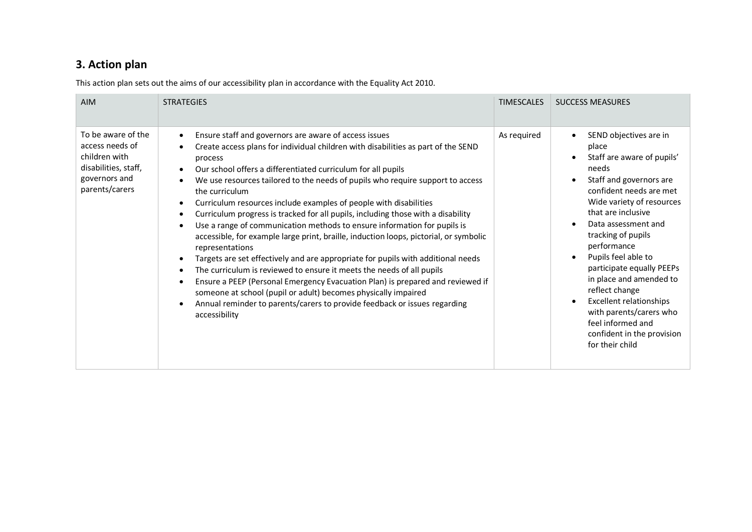# **3. Action plan**

This action plan sets out the aims of our accessibility plan in accordance with the Equality Act 2010.

| <b>AIM</b>                                                                                                        | <b>STRATEGIES</b>                                                                                                                                                                                                                                                                                                                                                                                                                                                                                                                                                                                                                                                                                                                                                                                                                                                                                                                                                                                                                                                                                                                                          | <b>TIMESCALES</b> | <b>SUCCESS MEASURES</b>                                                                                                                                                                                                                                                                                                                                                                                                                                                         |
|-------------------------------------------------------------------------------------------------------------------|------------------------------------------------------------------------------------------------------------------------------------------------------------------------------------------------------------------------------------------------------------------------------------------------------------------------------------------------------------------------------------------------------------------------------------------------------------------------------------------------------------------------------------------------------------------------------------------------------------------------------------------------------------------------------------------------------------------------------------------------------------------------------------------------------------------------------------------------------------------------------------------------------------------------------------------------------------------------------------------------------------------------------------------------------------------------------------------------------------------------------------------------------------|-------------------|---------------------------------------------------------------------------------------------------------------------------------------------------------------------------------------------------------------------------------------------------------------------------------------------------------------------------------------------------------------------------------------------------------------------------------------------------------------------------------|
| To be aware of the<br>access needs of<br>children with<br>disabilities, staff,<br>governors and<br>parents/carers | Ensure staff and governors are aware of access issues<br>$\bullet$<br>Create access plans for individual children with disabilities as part of the SEND<br>process<br>Our school offers a differentiated curriculum for all pupils<br>We use resources tailored to the needs of pupils who require support to access<br>the curriculum<br>Curriculum resources include examples of people with disabilities<br>$\bullet$<br>Curriculum progress is tracked for all pupils, including those with a disability<br>$\bullet$<br>Use a range of communication methods to ensure information for pupils is<br>$\bullet$<br>accessible, for example large print, braille, induction loops, pictorial, or symbolic<br>representations<br>Targets are set effectively and are appropriate for pupils with additional needs<br>The curriculum is reviewed to ensure it meets the needs of all pupils<br>$\bullet$<br>Ensure a PEEP (Personal Emergency Evacuation Plan) is prepared and reviewed if<br>someone at school (pupil or adult) becomes physically impaired<br>Annual reminder to parents/carers to provide feedback or issues regarding<br>accessibility | As required       | SEND objectives are in<br>place<br>Staff are aware of pupils'<br>needs<br>Staff and governors are<br>confident needs are met<br>Wide variety of resources<br>that are inclusive<br>Data assessment and<br>tracking of pupils<br>performance<br>Pupils feel able to<br>participate equally PEEPs<br>in place and amended to<br>reflect change<br><b>Excellent relationships</b><br>with parents/carers who<br>feel informed and<br>confident in the provision<br>for their child |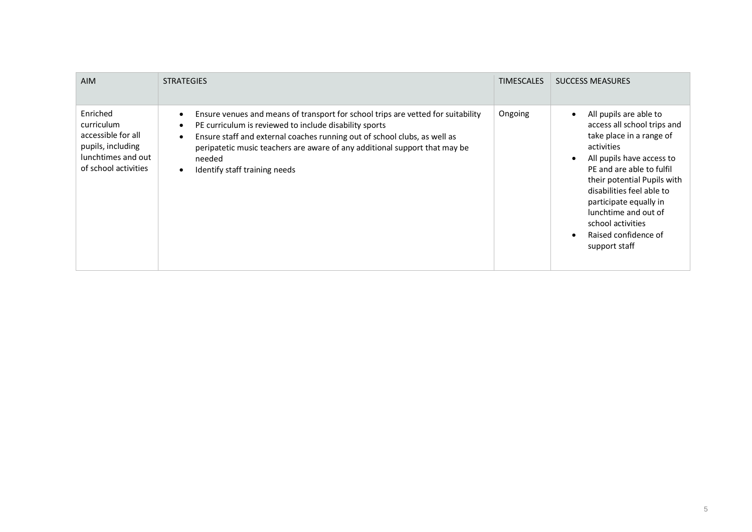| <b>AIM</b>                                                                                                      | <b>STRATEGIES</b>                                                                                                                                                                                                                                                                                                                                | <b>TIMESCALES</b> | <b>SUCCESS MEASURES</b>                                                                                                                                                                                                                                                                                                               |
|-----------------------------------------------------------------------------------------------------------------|--------------------------------------------------------------------------------------------------------------------------------------------------------------------------------------------------------------------------------------------------------------------------------------------------------------------------------------------------|-------------------|---------------------------------------------------------------------------------------------------------------------------------------------------------------------------------------------------------------------------------------------------------------------------------------------------------------------------------------|
| Enriched<br>curriculum<br>accessible for all<br>pupils, including<br>lunchtimes and out<br>of school activities | Ensure venues and means of transport for school trips are vetted for suitability<br>PE curriculum is reviewed to include disability sports<br>Ensure staff and external coaches running out of school clubs, as well as<br>peripatetic music teachers are aware of any additional support that may be<br>needed<br>Identify staff training needs | Ongoing           | All pupils are able to<br>access all school trips and<br>take place in a range of<br>activities<br>All pupils have access to<br>PE and are able to fulfil<br>their potential Pupils with<br>disabilities feel able to<br>participate equally in<br>lunchtime and out of<br>school activities<br>Raised confidence of<br>support staff |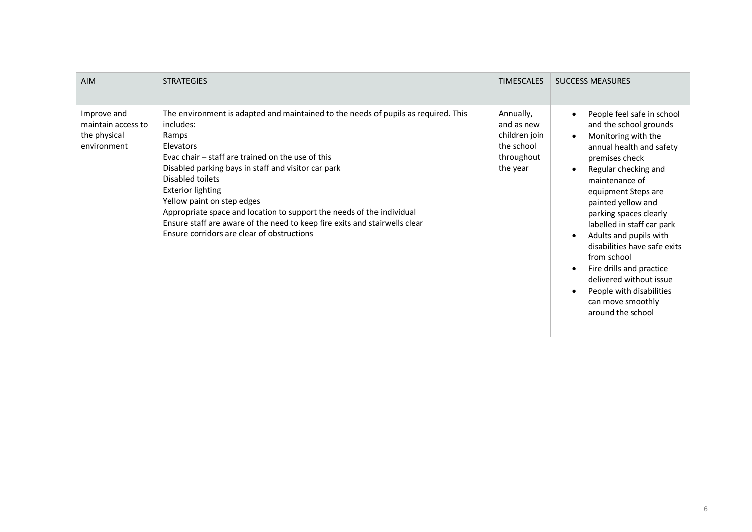| <b>AIM</b>                                                       | <b>STRATEGIES</b>                                                                                                                                                                                                                                                                                                                                                                                                                                                                                                    | <b>TIMESCALES</b>                                                                | <b>SUCCESS MEASURES</b>                                                                                                                                                                                                                                                                                                                                                                                                                                                        |
|------------------------------------------------------------------|----------------------------------------------------------------------------------------------------------------------------------------------------------------------------------------------------------------------------------------------------------------------------------------------------------------------------------------------------------------------------------------------------------------------------------------------------------------------------------------------------------------------|----------------------------------------------------------------------------------|--------------------------------------------------------------------------------------------------------------------------------------------------------------------------------------------------------------------------------------------------------------------------------------------------------------------------------------------------------------------------------------------------------------------------------------------------------------------------------|
| Improve and<br>maintain access to<br>the physical<br>environment | The environment is adapted and maintained to the needs of pupils as required. This<br>includes:<br>Ramps<br>Elevators<br>Evac chair – staff are trained on the use of this<br>Disabled parking bays in staff and visitor car park<br>Disabled toilets<br><b>Exterior lighting</b><br>Yellow paint on step edges<br>Appropriate space and location to support the needs of the individual<br>Ensure staff are aware of the need to keep fire exits and stairwells clear<br>Ensure corridors are clear of obstructions | Annually,<br>and as new<br>children join<br>the school<br>throughout<br>the year | People feel safe in school<br>and the school grounds<br>Monitoring with the<br>annual health and safety<br>premises check<br>Regular checking and<br>maintenance of<br>equipment Steps are<br>painted yellow and<br>parking spaces clearly<br>labelled in staff car park<br>Adults and pupils with<br>disabilities have safe exits<br>from school<br>Fire drills and practice<br>delivered without issue<br>People with disabilities<br>can move smoothly<br>around the school |